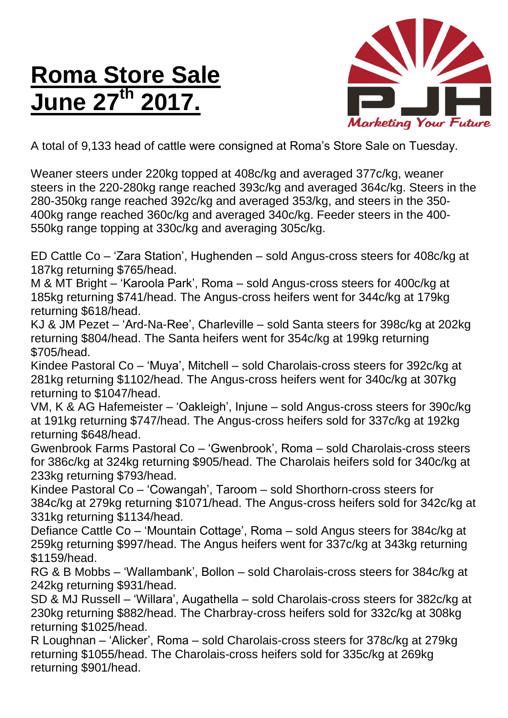## **Roma Store Sale June 27 th 2017.**



A total of 9,133 head of cattle were consigned at Roma's Store Sale on Tuesday.

Weaner steers under 220kg topped at 408c/kg and averaged 377c/kg, weaner steers in the 220-280kg range reached 393c/kg and averaged 364c/kg. Steers in the 280-350kg range reached 392c/kg and averaged 353/kg, and steers in the 350- 400kg range reached 360c/kg and averaged 340c/kg. Feeder steers in the 400- 550kg range topping at 330c/kg and averaging 305c/kg.

ED Cattle Co – 'Zara Station', Hughenden – sold Angus-cross steers for 408c/kg at 187kg returning \$765/head.

M & MT Bright – 'Karoola Park', Roma – sold Angus-cross steers for 400c/kg at 185kg returning \$741/head. The Angus-cross heifers went for 344c/kg at 179kg returning \$618/head.

KJ & JM Pezet – 'Ard-Na-Ree', Charleville – sold Santa steers for 398c/kg at 202kg returning \$804/head. The Santa heifers went for 354c/kg at 199kg returning \$705/head.

Kindee Pastoral Co – 'Muya', Mitchell – sold Charolais-cross steers for 392c/kg at 281kg returning \$1102/head. The Angus-cross heifers went for 340c/kg at 307kg returning to \$1047/head.

VM, K & AG Hafemeister – 'Oakleigh', Injune – sold Angus-cross steers for 390c/kg at 191kg returning \$747/head. The Angus-cross heifers sold for 337c/kg at 192kg returning \$648/head.

Gwenbrook Farms Pastoral Co – 'Gwenbrook', Roma – sold Charolais-cross steers for 386c/kg at 324kg returning \$905/head. The Charolais heifers sold for 340c/kg at 233kg returning \$793/head.

Kindee Pastoral Co – 'Cowangah', Taroom – sold Shorthorn-cross steers for 384c/kg at 279kg returning \$1071/head. The Angus-cross heifers sold for 342c/kg at 331kg returning \$1134/head.

Defiance Cattle Co – 'Mountain Cottage', Roma – sold Angus steers for 384c/kg at 259kg returning \$997/head. The Angus heifers went for 337c/kg at 343kg returning \$1159/head.

RG & B Mobbs – 'Wallambank', Bollon – sold Charolais-cross steers for 384c/kg at 242kg returning \$931/head.

SD & MJ Russell – 'Willara', Augathella – sold Charolais-cross steers for 382c/kg at 230kg returning \$882/head. The Charbray-cross heifers sold for 332c/kg at 308kg returning \$1025/head.

R Loughnan – 'Alicker', Roma – sold Charolais-cross steers for 378c/kg at 279kg returning \$1055/head. The Charolais-cross heifers sold for 335c/kg at 269kg returning \$901/head.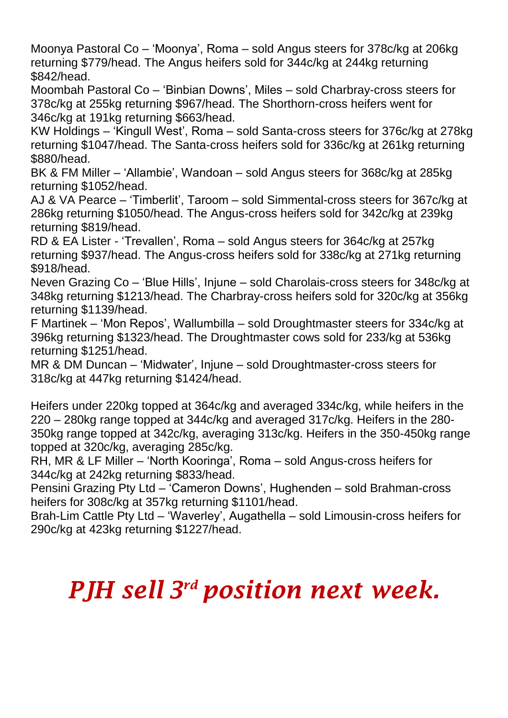Moonya Pastoral Co – 'Moonya', Roma – sold Angus steers for 378c/kg at 206kg returning \$779/head. The Angus heifers sold for 344c/kg at 244kg returning \$842/head.

Moombah Pastoral Co – 'Binbian Downs', Miles – sold Charbray-cross steers for 378c/kg at 255kg returning \$967/head. The Shorthorn-cross heifers went for 346c/kg at 191kg returning \$663/head.

KW Holdings – 'Kingull West', Roma – sold Santa-cross steers for 376c/kg at 278kg returning \$1047/head. The Santa-cross heifers sold for 336c/kg at 261kg returning \$880/head.

BK & FM Miller – 'Allambie', Wandoan – sold Angus steers for 368c/kg at 285kg returning \$1052/head.

AJ & VA Pearce – 'Timberlit', Taroom – sold Simmental-cross steers for 367c/kg at 286kg returning \$1050/head. The Angus-cross heifers sold for 342c/kg at 239kg returning \$819/head.

RD & EA Lister - 'Trevallen', Roma – sold Angus steers for 364c/kg at 257kg returning \$937/head. The Angus-cross heifers sold for 338c/kg at 271kg returning \$918/head.

Neven Grazing Co – 'Blue Hills', Injune – sold Charolais-cross steers for 348c/kg at 348kg returning \$1213/head. The Charbray-cross heifers sold for 320c/kg at 356kg returning \$1139/head.

F Martinek – 'Mon Repos', Wallumbilla – sold Droughtmaster steers for 334c/kg at 396kg returning \$1323/head. The Droughtmaster cows sold for 233/kg at 536kg returning \$1251/head.

MR & DM Duncan – 'Midwater', Injune – sold Droughtmaster-cross steers for 318c/kg at 447kg returning \$1424/head.

Heifers under 220kg topped at 364c/kg and averaged 334c/kg, while heifers in the 220 – 280kg range topped at 344c/kg and averaged 317c/kg. Heifers in the 280- 350kg range topped at 342c/kg, averaging 313c/kg. Heifers in the 350-450kg range topped at 320c/kg, averaging 285c/kg.

RH, MR & LF Miller – 'North Kooringa', Roma – sold Angus-cross heifers for 344c/kg at 242kg returning \$833/head.

Pensini Grazing Pty Ltd – 'Cameron Downs', Hughenden – sold Brahman-cross heifers for 308c/kg at 357kg returning \$1101/head.

Brah-Lim Cattle Pty Ltd – 'Waverley', Augathella – sold Limousin-cross heifers for 290c/kg at 423kg returning \$1227/head.

## *PJH sell 3 rd position next week.*